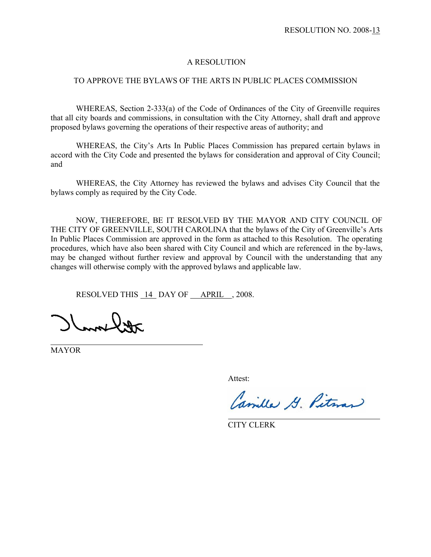#### A RESOLUTION

#### TO APPROVE THE BYLAWS OF THE ARTS IN PUBLIC PLACES COMMISSION

WHEREAS, Section 2-333(a) of the Code of Ordinances of the City of Greenville requires that all city boards and commissions, in consultation with the City Attorney, shall draft and approve proposed bylaws governing the operations of their respective areas of authority; and

WHEREAS, the City's Arts In Public Places Commission has prepared certain bylaws in accord with the City Code and presented the bylaws for consideration and approval of City Council; and

WHEREAS, the City Attorney has reviewed the bylaws and advises City Council that the bylaws comply as required by the City Code.

NOW, THEREFORE, BE IT RESOLVED BY THE MAYOR AND CITY COUNCIL OF THE CITY OF GREENVILLE, SOUTH CAROLINA that the bylaws of the City of Greenville's Arts In Public Places Commission are approved in the form as attached to this Resolution. The operating procedures, which have also been shared with City Council and which are referenced in the by-laws, may be changed without further review and approval by Council with the understanding that any changes will otherwise comply with the approved bylaws and applicable law.

RESOLVED THIS 14 DAY OF APRIL, 2008.

 $\mu_{\rm max}$ 

MAYOR

Attest:

Camilla G. Pitman

CITY CLERK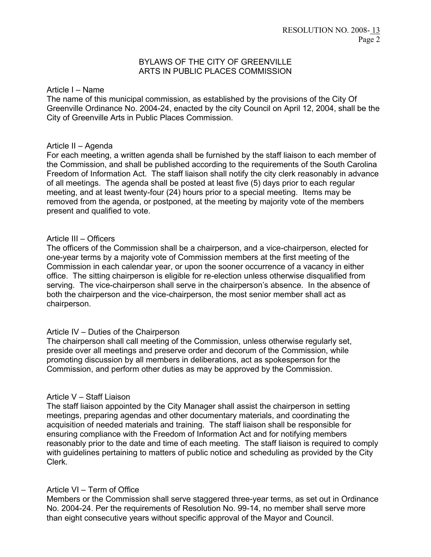## BYLAWS OF THE CITY OF GREENVILLE ARTS IN PUBLIC PLACES COMMISSION

### Article I – Name

The name of this municipal commission, as established by the provisions of the City Of Greenville Ordinance No. 2004-24, enacted by the city Council on April 12, 2004, shall be the City of Greenville Arts in Public Places Commission.

### Article II – Agenda

For each meeting, a written agenda shall be furnished by the staff liaison to each member of the Commission, and shall be published according to the requirements of the South Carolina Freedom of Information Act. The staff liaison shall notify the city clerk reasonably in advance of all meetings. The agenda shall be posted at least five (5) days prior to each regular meeting, and at least twenty-four (24) hours prior to a special meeting. Items may be removed from the agenda, or postponed, at the meeting by majority vote of the members present and qualified to vote.

### Article III – Officers

The officers of the Commission shall be a chairperson, and a vice-chairperson, elected for one-year terms by a majority vote of Commission members at the first meeting of the Commission in each calendar year, or upon the sooner occurrence of a vacancy in either office. The sitting chairperson is eligible for re-election unless otherwise disqualified from serving. The vice-chairperson shall serve in the chairperson's absence. In the absence of both the chairperson and the vice-chairperson, the most senior member shall act as chairperson.

## Article IV – Duties of the Chairperson

The chairperson shall call meeting of the Commission, unless otherwise regularly set, preside over all meetings and preserve order and decorum of the Commission, while promoting discussion by all members in deliberations, act as spokesperson for the Commission, and perform other duties as may be approved by the Commission.

## Article V – Staff Liaison

The staff liaison appointed by the City Manager shall assist the chairperson in setting meetings, preparing agendas and other documentary materials, and coordinating the acquisition of needed materials and training. The staff liaison shall be responsible for ensuring compliance with the Freedom of Information Act and for notifying members reasonably prior to the date and time of each meeting. The staff liaison is required to comply with guidelines pertaining to matters of public notice and scheduling as provided by the City Clerk.

## Article VI – Term of Office

Members or the Commission shall serve staggered three-year terms, as set out in Ordinance No. 2004-24. Per the requirements of Resolution No. 99-14, no member shall serve more than eight consecutive years without specific approval of the Mayor and Council.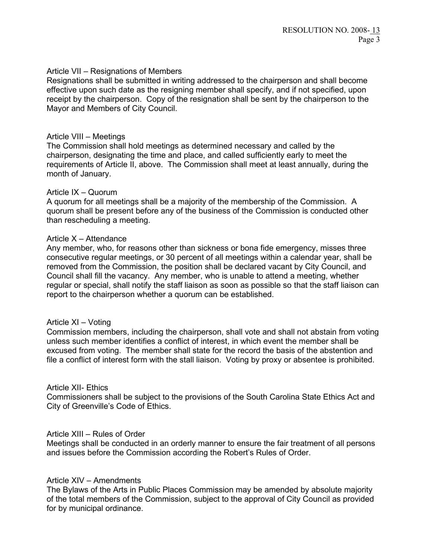### Article VII – Resignations of Members

Resignations shall be submitted in writing addressed to the chairperson and shall become effective upon such date as the resigning member shall specify, and if not specified, upon receipt by the chairperson. Copy of the resignation shall be sent by the chairperson to the Mayor and Members of City Council.

## Article VIII – Meetings

The Commission shall hold meetings as determined necessary and called by the chairperson, designating the time and place, and called sufficiently early to meet the requirements of Article II, above. The Commission shall meet at least annually, during the month of January.

### Article IX – Quorum

A quorum for all meetings shall be a majority of the membership of the Commission. A quorum shall be present before any of the business of the Commission is conducted other than rescheduling a meeting.

### Article X – Attendance

Any member, who, for reasons other than sickness or bona fide emergency, misses three consecutive regular meetings, or 30 percent of all meetings within a calendar year, shall be removed from the Commission, the position shall be declared vacant by City Council, and Council shall fill the vacancy. Any member, who is unable to attend a meeting, whether regular or special, shall notify the staff liaison as soon as possible so that the staff liaison can report to the chairperson whether a quorum can be established.

#### Article XI – Voting

Commission members, including the chairperson, shall vote and shall not abstain from voting unless such member identifies a conflict of interest, in which event the member shall be excused from voting. The member shall state for the record the basis of the abstention and file a conflict of interest form with the stall liaison. Voting by proxy or absentee is prohibited.

#### Article XII- Ethics

Commissioners shall be subject to the provisions of the South Carolina State Ethics Act and City of Greenville's Code of Ethics.

## Article XIII – Rules of Order

Meetings shall be conducted in an orderly manner to ensure the fair treatment of all persons and issues before the Commission according the Robert's Rules of Order.

#### Article XIV – Amendments

The Bylaws of the Arts in Public Places Commission may be amended by absolute majority of the total members of the Commission, subject to the approval of City Council as provided for by municipal ordinance.